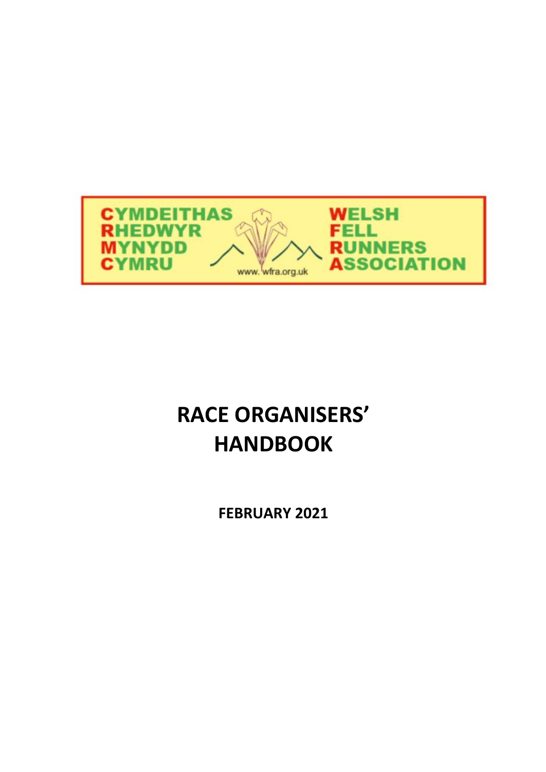

# **RACE ORGANISERS' HANDBOOK**

**FEBRUARY 2021**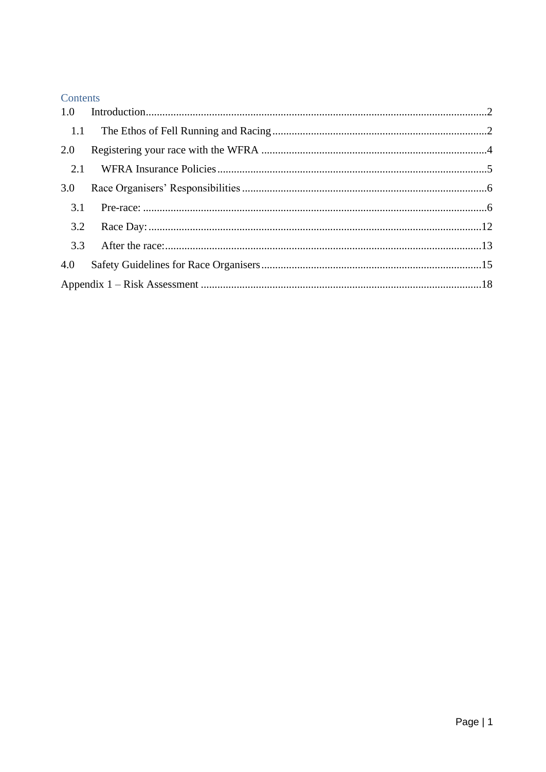### Contents

| 1.1 |  |  |  |
|-----|--|--|--|
| 2.0 |  |  |  |
| 2.1 |  |  |  |
| 3.0 |  |  |  |
| 3.1 |  |  |  |
| 3.2 |  |  |  |
| 3.3 |  |  |  |
| 4.0 |  |  |  |
|     |  |  |  |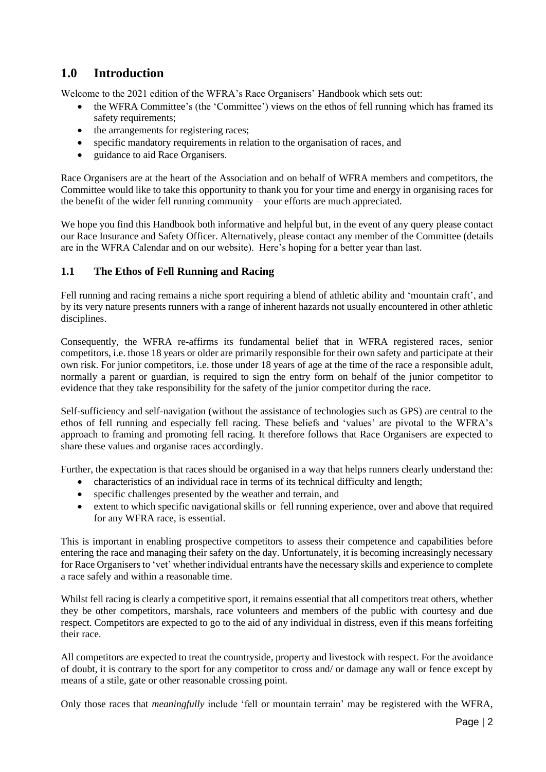# <span id="page-2-0"></span>**1.0 Introduction**

Welcome to the 2021 edition of the WFRA's Race Organisers' Handbook which sets out:

- the WFRA Committee's (the 'Committee') views on the ethos of fell running which has framed its safety requirements;
- the arrangements for registering races;
- specific mandatory requirements in relation to the organisation of races, and
- guidance to aid Race Organisers.

Race Organisers are at the heart of the Association and on behalf of WFRA members and competitors, the Committee would like to take this opportunity to thank you for your time and energy in organising races for the benefit of the wider fell running community – your efforts are much appreciated.

We hope you find this Handbook both informative and helpful but, in the event of any query please contact our Race Insurance and Safety Officer. Alternatively, please contact any member of the Committee (details are in the WFRA Calendar and on our website). Here's hoping for a better year than last.

#### <span id="page-2-1"></span>**1.1 The Ethos of Fell Running and Racing**

Fell running and racing remains a niche sport requiring a blend of athletic ability and 'mountain craft', and by its very nature presents runners with a range of inherent hazards not usually encountered in other athletic disciplines.

Consequently, the WFRA re-affirms its fundamental belief that in WFRA registered races, senior competitors, i.e. those 18 years or older are primarily responsible for their own safety and participate at their own risk. For junior competitors, i.e. those under 18 years of age at the time of the race a responsible adult, normally a parent or guardian, is required to sign the entry form on behalf of the junior competitor to evidence that they take responsibility for the safety of the junior competitor during the race.

Self-sufficiency and self-navigation (without the assistance of technologies such as GPS) are central to the ethos of fell running and especially fell racing. These beliefs and 'values' are pivotal to the WFRA's approach to framing and promoting fell racing. It therefore follows that Race Organisers are expected to share these values and organise races accordingly.

Further, the expectation is that races should be organised in a way that helps runners clearly understand the:

- characteristics of an individual race in terms of its technical difficulty and length;
- specific challenges presented by the weather and terrain, and
- extent to which specific navigational skills or fell running experience, over and above that required for any WFRA race, is essential.

This is important in enabling prospective competitors to assess their competence and capabilities before entering the race and managing their safety on the day. Unfortunately, it is becoming increasingly necessary for Race Organisers to 'vet' whether individual entrants have the necessary skills and experience to complete a race safely and within a reasonable time.

Whilst fell racing is clearly a competitive sport, it remains essential that all competitors treat others, whether they be other competitors, marshals, race volunteers and members of the public with courtesy and due respect. Competitors are expected to go to the aid of any individual in distress, even if this means forfeiting their race.

All competitors are expected to treat the countryside, property and livestock with respect. For the avoidance of doubt, it is contrary to the sport for any competitor to cross and/ or damage any wall or fence except by means of a stile, gate or other reasonable crossing point.

Only those races that *meaningfully* include 'fell or mountain terrain' may be registered with the WFRA,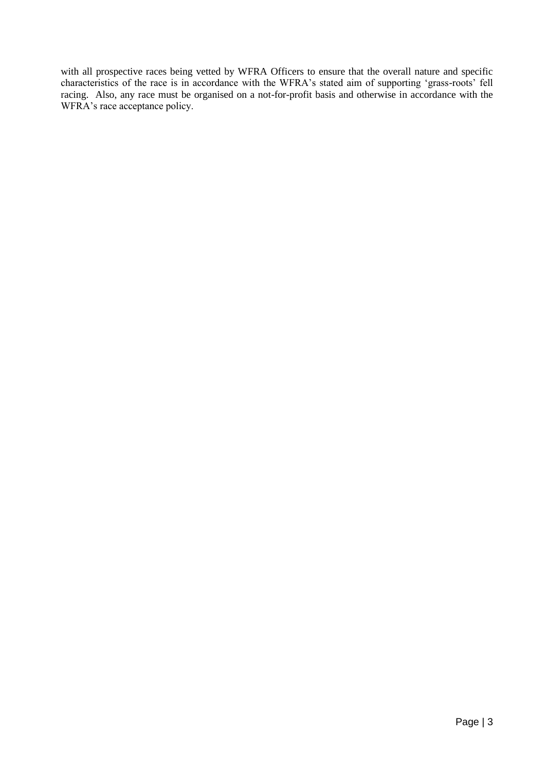with all prospective races being vetted by WFRA Officers to ensure that the overall nature and specific characteristics of the race is in accordance with the WFRA's stated aim of supporting 'grass-roots' fell racing. Also, any race must be organised on a not-for-profit basis and otherwise in accordance with the WFRA's race acceptance policy.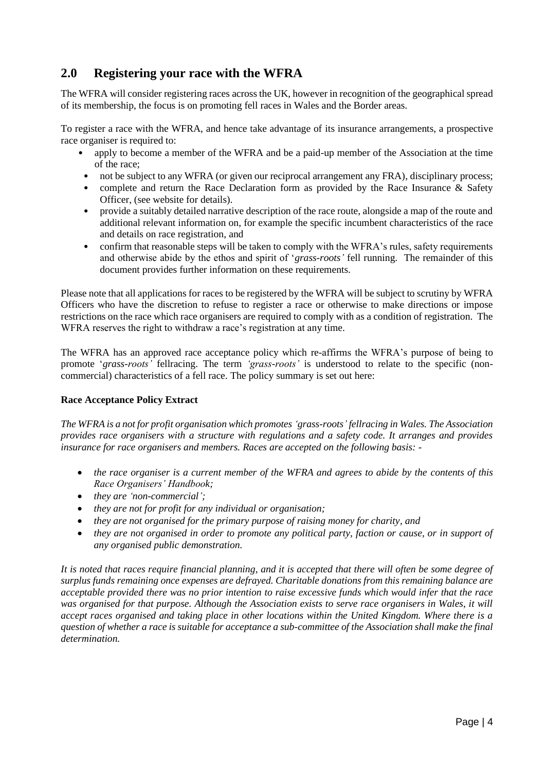# <span id="page-4-0"></span>**2.0 Registering your race with the WFRA**

The WFRA will consider registering races across the UK, however in recognition of the geographical spread of its membership, the focus is on promoting fell races in Wales and the Border areas.

To register a race with the WFRA, and hence take advantage of its insurance arrangements, a prospective race organiser is required to:

- apply to become a member of the WFRA and be a paid-up member of the Association at the time of the race;
- not be subject to any WFRA (or given our reciprocal arrangement any FRA), disciplinary process;
- complete and return the Race Declaration form as provided by the Race Insurance & Safety Officer, (see website for details).
- provide a suitably detailed narrative description of the race route, alongside a map of the route and additional relevant information on, for example the specific incumbent characteristics of the race and details on race registration, and
- confirm that reasonable steps will be taken to comply with the WFRA's rules, safety requirements and otherwise abide by the ethos and spirit of '*grass-roots'* fell running. The remainder of this document provides further information on these requirements.

Please note that all applications for races to be registered by the WFRA will be subject to scrutiny by WFRA Officers who have the discretion to refuse to register a race or otherwise to make directions or impose restrictions on the race which race organisers are required to comply with as a condition of registration. The WFRA reserves the right to withdraw a race's registration at any time.

The WFRA has an approved race acceptance policy which re-affirms the WFRA's purpose of being to promote '*grass-roots'* fellracing. The term *'grass-roots'* is understood to relate to the specific (noncommercial) characteristics of a fell race. The policy summary is set out here:

#### **Race Acceptance Policy Extract**

*The WFRA is a not for profit organisation which promotes 'grass-roots' fellracing in Wales. The Association provides race organisers with a structure with regulations and a safety code. It arranges and provides insurance for race organisers and members. Races are accepted on the following basis: -*

- *the race organiser is a current member of the WFRA and agrees to abide by the contents of this Race Organisers' Handbook;*
- *they are 'non-commercial';*
- *they are not for profit for any individual or organisation;*
- *they are not organised for the primary purpose of raising money for charity, and*
- *they are not organised in order to promote any political party, faction or cause, or in support of any organised public demonstration.*

*It is noted that races require financial planning, and it is accepted that there will often be some degree of surplus funds remaining once expenses are defrayed. Charitable donations from this remaining balance are acceptable provided there was no prior intention to raise excessive funds which would infer that the race was organised for that purpose. Although the Association exists to serve race organisers in Wales, it will accept races organised and taking place in other locations within the United Kingdom. Where there is a question of whether a race is suitable for acceptance a sub-committee of the Association shall make the final determination.*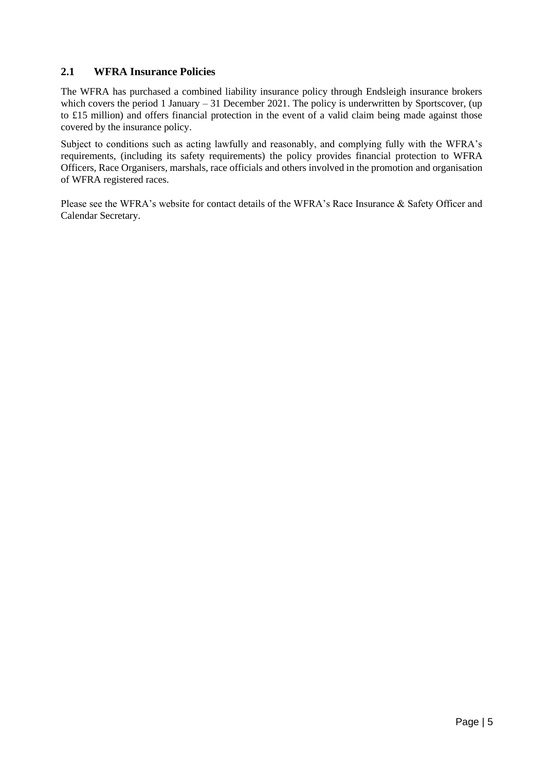#### <span id="page-5-0"></span>**2.1 WFRA Insurance Policies**

The WFRA has purchased a combined liability insurance policy through Endsleigh insurance brokers which covers the period 1 January – 31 December 2021. The policy is underwritten by Sportscover, (up to £15 million) and offers financial protection in the event of a valid claim being made against those covered by the insurance policy.

Subject to conditions such as acting lawfully and reasonably, and complying fully with the WFRA's requirements, (including its safety requirements) the policy provides financial protection to WFRA Officers, Race Organisers, marshals, race officials and others involved in the promotion and organisation of WFRA registered races.

Please see the WFRA's website for contact details of the WFRA's Race Insurance & Safety Officer and Calendar Secretary.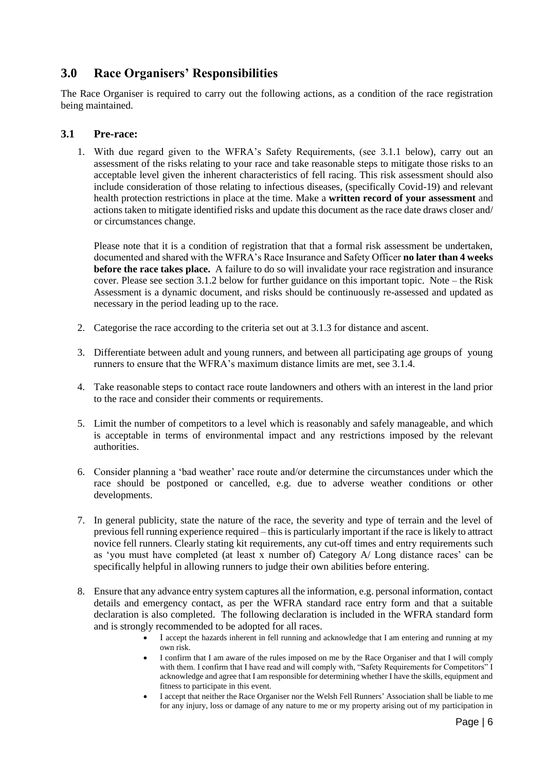## <span id="page-6-0"></span>**3.0 Race Organisers' Responsibilities**

The Race Organiser is required to carry out the following actions, as a condition of the race registration being maintained.

#### <span id="page-6-1"></span>**3.1 Pre-race:**

1. With due regard given to the WFRA's Safety Requirements, (see 3.1.1 below), carry out an assessment of the risks relating to your race and take reasonable steps to mitigate those risks to an acceptable level given the inherent characteristics of fell racing. This risk assessment should also include consideration of those relating to infectious diseases, (specifically Covid-19) and relevant health protection restrictions in place at the time. Make a **written record of your assessment** and actions taken to mitigate identified risks and update this document as the race date draws closer and/ or circumstances change.

Please note that it is a condition of registration that that a formal risk assessment be undertaken, documented and shared with the WFRA's Race Insurance and Safety Officer **no later than 4 weeks before the race takes place.** A failure to do so will invalidate your race registration and insurance cover. Please see section 3.1.2 below for further guidance on this important topic. Note – the Risk Assessment is a dynamic document, and risks should be continuously re-assessed and updated as necessary in the period leading up to the race.

- 2. Categorise the race according to the criteria set out at 3.1.3 for distance and ascent.
- 3. Differentiate between adult and young runners, and between all participating age groups of young runners to ensure that the WFRA's maximum distance limits are met, see 3.1.4.
- 4. Take reasonable steps to contact race route landowners and others with an interest in the land prior to the race and consider their comments or requirements.
- 5. Limit the number of competitors to a level which is reasonably and safely manageable, and which is acceptable in terms of environmental impact and any restrictions imposed by the relevant authorities.
- 6. Consider planning a 'bad weather' race route and/or determine the circumstances under which the race should be postponed or cancelled, e.g. due to adverse weather conditions or other developments.
- 7. In general publicity, state the nature of the race, the severity and type of terrain and the level of previous fell running experience required – this is particularly important if the race is likely to attract novice fell runners. Clearly stating kit requirements, any cut-off times and entry requirements such as 'you must have completed (at least x number of) Category A/ Long distance races' can be specifically helpful in allowing runners to judge their own abilities before entering.
- 8. Ensure that any advance entry system captures all the information, e.g. personal information, contact details and emergency contact, as per the WFRA standard race entry form and that a suitable declaration is also completed. The following declaration is included in the WFRA standard form and is strongly recommended to be adopted for all races.
	- I accept the hazards inherent in fell running and acknowledge that I am entering and running at my own risk.
	- I confirm that I am aware of the rules imposed on me by the Race Organiser and that I will comply with them. I confirm that I have read and will comply with, "Safety Requirements for Competitors" I acknowledge and agree that I am responsible for determining whether I have the skills, equipment and fitness to participate in this event.
	- I accept that neither the Race Organiser nor the Welsh Fell Runners' Association shall be liable to me for any injury, loss or damage of any nature to me or my property arising out of my participation in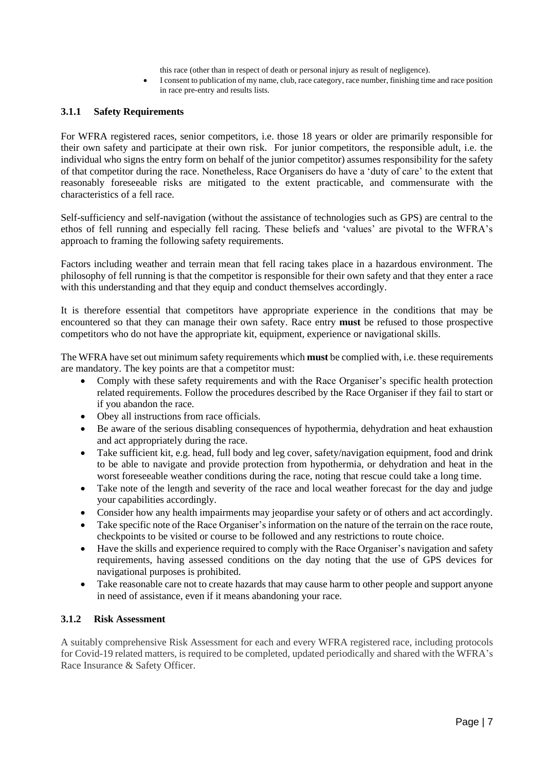this race (other than in respect of death or personal injury as result of negligence).

• I consent to publication of my name, club, race category, race number, finishing time and race position in race pre-entry and results lists.

#### **3.1.1 Safety Requirements**

For WFRA registered races, senior competitors, i.e. those 18 years or older are primarily responsible for their own safety and participate at their own risk. For junior competitors, the responsible adult, i.e. the individual who signs the entry form on behalf of the junior competitor) assumes responsibility for the safety of that competitor during the race. Nonetheless, Race Organisers do have a 'duty of care' to the extent that reasonably foreseeable risks are mitigated to the extent practicable, and commensurate with the characteristics of a fell race.

Self-sufficiency and self-navigation (without the assistance of technologies such as GPS) are central to the ethos of fell running and especially fell racing. These beliefs and 'values' are pivotal to the WFRA's approach to framing the following safety requirements.

Factors including weather and terrain mean that fell racing takes place in a hazardous environment. The philosophy of fell running is that the competitor is responsible for their own safety and that they enter a race with this understanding and that they equip and conduct themselves accordingly.

It is therefore essential that competitors have appropriate experience in the conditions that may be encountered so that they can manage their own safety. Race entry **must** be refused to those prospective competitors who do not have the appropriate kit, equipment, experience or navigational skills.

The WFRA have set out minimum safety requirements which **must** be complied with, i.e. these requirements are mandatory. The key points are that a competitor must:

- Comply with these safety requirements and with the Race Organiser's specific health protection related requirements. Follow the procedures described by the Race Organiser if they fail to start or if you abandon the race.
- Obey all instructions from race officials.
- Be aware of the serious disabling consequences of hypothermia, dehydration and heat exhaustion and act appropriately during the race.
- Take sufficient kit, e.g. head, full body and leg cover, safety/navigation equipment, food and drink to be able to navigate and provide protection from hypothermia, or dehydration and heat in the worst foreseeable weather conditions during the race, noting that rescue could take a long time.
- Take note of the length and severity of the race and local weather forecast for the day and judge your capabilities accordingly.
- Consider how any health impairments may jeopardise your safety or of others and act accordingly.
- Take specific note of the Race Organiser's information on the nature of the terrain on the race route, checkpoints to be visited or course to be followed and any restrictions to route choice.
- Have the skills and experience required to comply with the Race Organiser's navigation and safety requirements, having assessed conditions on the day noting that the use of GPS devices for navigational purposes is prohibited.
- Take reasonable care not to create hazards that may cause harm to other people and support anyone in need of assistance, even if it means abandoning your race.

#### **3.1.2 Risk Assessment**

A suitably comprehensive Risk Assessment for each and every WFRA registered race, including protocols for Covid-19 related matters, is required to be completed, updated periodically and shared with the WFRA's Race Insurance & Safety Officer.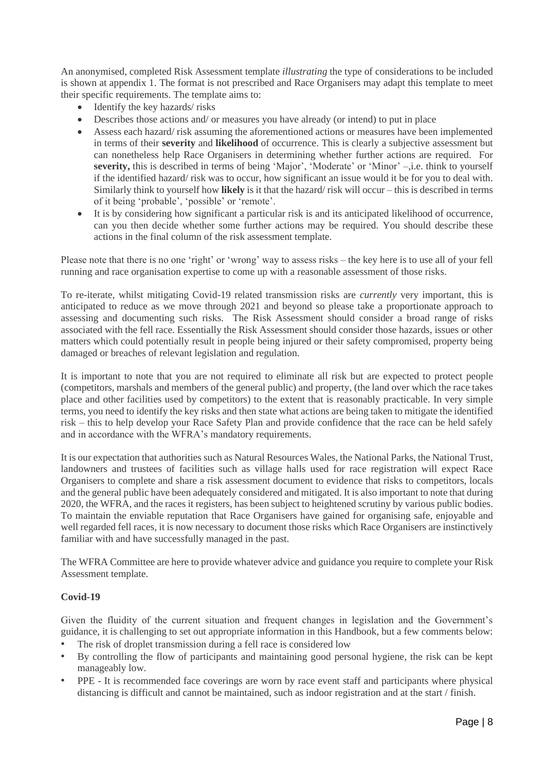An anonymised, completed Risk Assessment template *illustrating* the type of considerations to be included is shown at appendix 1. The format is not prescribed and Race Organisers may adapt this template to meet their specific requirements. The template aims to:

- Identify the key hazards/risks
- Describes those actions and/ or measures you have already (or intend) to put in place
- Assess each hazard/ risk assuming the aforementioned actions or measures have been implemented in terms of their **severity** and **likelihood** of occurrence. This is clearly a subjective assessment but can nonetheless help Race Organisers in determining whether further actions are required. For **severity,** this is described in terms of being 'Major', 'Moderate' or 'Minor' –,i.e. think to yourself if the identified hazard/ risk was to occur, how significant an issue would it be for you to deal with. Similarly think to yourself how **likely** is it that the hazard/ risk will occur – this is described in terms of it being 'probable', 'possible' or 'remote'.
- It is by considering how significant a particular risk is and its anticipated likelihood of occurrence, can you then decide whether some further actions may be required. You should describe these actions in the final column of the risk assessment template.

Please note that there is no one 'right' or 'wrong' way to assess risks – the key here is to use all of your fell running and race organisation expertise to come up with a reasonable assessment of those risks.

To re-iterate, whilst mitigating Covid-19 related transmission risks are *currently* very important, this is anticipated to reduce as we move through 2021 and beyond so please take a proportionate approach to assessing and documenting such risks. The Risk Assessment should consider a broad range of risks associated with the fell race. Essentially the Risk Assessment should consider those hazards, issues or other matters which could potentially result in people being injured or their safety compromised, property being damaged or breaches of relevant legislation and regulation.

It is important to note that you are not required to eliminate all risk but are expected to protect people (competitors, marshals and members of the general public) and property, (the land over which the race takes place and other facilities used by competitors) to the extent that is reasonably practicable. In very simple terms, you need to identify the key risks and then state what actions are being taken to mitigate the identified risk – this to help develop your Race Safety Plan and provide confidence that the race can be held safely and in accordance with the WFRA's mandatory requirements.

It is our expectation that authorities such as Natural Resources Wales, the National Parks, the National Trust, landowners and trustees of facilities such as village halls used for race registration will expect Race Organisers to complete and share a risk assessment document to evidence that risks to competitors, locals and the general public have been adequately considered and mitigated. It is also important to note that during 2020, the WFRA, and the races it registers, has been subject to heightened scrutiny by various public bodies. To maintain the enviable reputation that Race Organisers have gained for organising safe, enjoyable and well regarded fell races, it is now necessary to document those risks which Race Organisers are instinctively familiar with and have successfully managed in the past.

The WFRA Committee are here to provide whatever advice and guidance you require to complete your Risk Assessment template.

#### **Covid-19**

Given the fluidity of the current situation and frequent changes in legislation and the Government's guidance, it is challenging to set out appropriate information in this Handbook, but a few comments below:

- The risk of droplet transmission during a fell race is considered low
- By controlling the flow of participants and maintaining good personal hygiene, the risk can be kept manageably low.
- PPE It is recommended face coverings are worn by race event staff and participants where physical distancing is difficult and cannot be maintained, such as indoor registration and at the start / finish.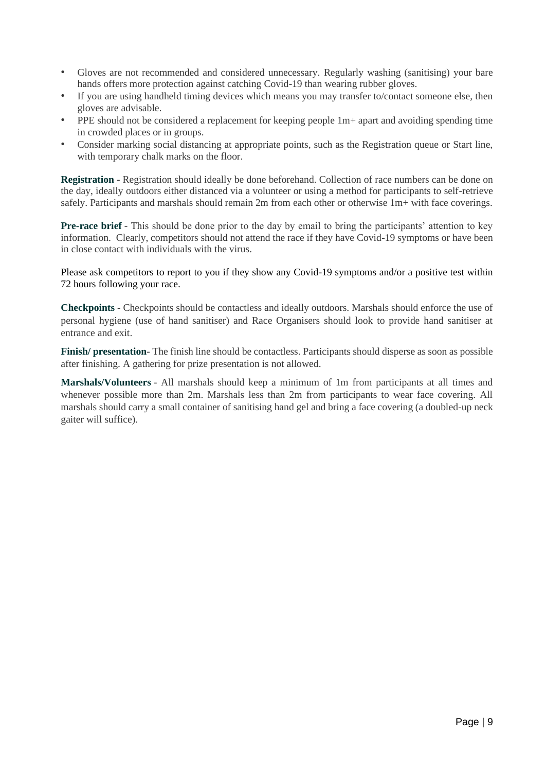- Gloves are not recommended and considered unnecessary. Regularly washing (sanitising) your bare hands offers more protection against catching Covid-19 than wearing rubber gloves.
- If you are using handheld timing devices which means you may transfer to/contact someone else, then gloves are advisable.
- PPE should not be considered a replacement for keeping people 1m+ apart and avoiding spending time in crowded places or in groups.
- Consider marking social distancing at appropriate points, such as the Registration queue or Start line, with temporary chalk marks on the floor.

**Registration** - Registration should ideally be done beforehand. Collection of race numbers can be done on the day, ideally outdoors either distanced via a volunteer or using a method for participants to self-retrieve safely. Participants and marshals should remain 2m from each other or otherwise 1m+ with face coverings.

**Pre-race brief** - This should be done prior to the day by email to bring the participants' attention to key information. Clearly, competitors should not attend the race if they have Covid-19 symptoms or have been in close contact with individuals with the virus.

Please ask competitors to report to you if they show any Covid-19 symptoms and/or a positive test within 72 hours following your race.

**Checkpoints** - Checkpoints should be contactless and ideally outdoors. Marshals should enforce the use of personal hygiene (use of hand sanitiser) and Race Organisers should look to provide hand sanitiser at entrance and exit.

**Finish/ presentation**- The finish line should be contactless. Participants should disperse as soon as possible after finishing. A gathering for prize presentation is not allowed.

**Marshals/Volunteers** - All marshals should keep a minimum of 1m from participants at all times and whenever possible more than 2m. Marshals less than 2m from participants to wear face covering. All marshals should carry a small container of sanitising hand gel and bring a face covering (a doubled-up neck gaiter will suffice).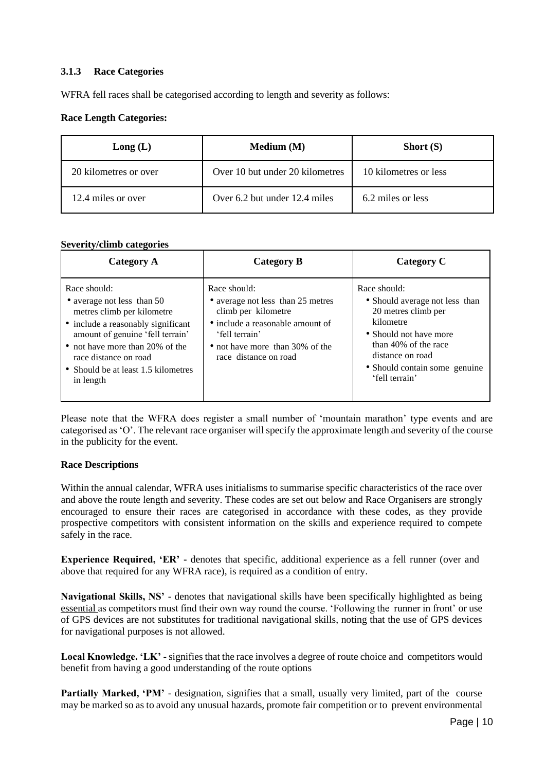#### **3.1.3 Race Categories**

WFRA fell races shall be categorised according to length and severity as follows:

#### **Race Length Categories:**

| Long(L)               | Median(M)                       | Short $(S)$           |
|-----------------------|---------------------------------|-----------------------|
| 20 kilometres or over | Over 10 but under 20 kilometres | 10 kilometres or less |
| 12.4 miles or over    | Over $6.2$ but under 12.4 miles | 6.2 miles or less     |

#### **Severity/climb categories**

| Category A                                                                                                                                                                                                                                                         | Category B                                                                                                                                                                                 | Category C                                                                                                                                                                                                  |
|--------------------------------------------------------------------------------------------------------------------------------------------------------------------------------------------------------------------------------------------------------------------|--------------------------------------------------------------------------------------------------------------------------------------------------------------------------------------------|-------------------------------------------------------------------------------------------------------------------------------------------------------------------------------------------------------------|
| Race should:<br>• average not less than 50<br>metres climb per kilometre<br>• include a reasonably significant<br>amount of genuine 'fell terrain'<br>• not have more than 20% of the<br>race distance on road<br>• Should be at least 1.5 kilometres<br>in length | Race should:<br>• average not less than 25 metres<br>climb per kilometre<br>• include a reasonable amount of<br>'fell terrain'<br>• not have more than 30% of the<br>race distance on road | Race should:<br>• Should average not less than<br>20 metres climb per<br>kilometre<br>• Should not have more<br>than 40% of the race<br>distance on road<br>• Should contain some genuine<br>'fell terrain' |

Please note that the WFRA does register a small number of 'mountain marathon' type events and are categorised as 'O'. The relevant race organiser will specify the approximate length and severity of the course in the publicity for the event.

#### **Race Descriptions**

Within the annual calendar, WFRA uses initialisms to summarise specific characteristics of the race over and above the route length and severity. These codes are set out below and Race Organisers are strongly encouraged to ensure their races are categorised in accordance with these codes, as they provide prospective competitors with consistent information on the skills and experience required to compete safely in the race.

**Experience Required, 'ER' -** denotes that specific, additional experience as a fell runner (over and above that required for any WFRA race), is required as a condition of entry.

**Navigational Skills, NS'** - denotes that navigational skills have been specifically highlighted as being essential as competitors must find their own way round the course. 'Following the runner in front' or use of GPS devices are not substitutes for traditional navigational skills, noting that the use of GPS devices for navigational purposes is not allowed.

**Local Knowledge. 'LK'** - signifies that the race involves a degree of route choice and competitors would benefit from having a good understanding of the route options

Partially Marked, 'PM' - designation, signifies that a small, usually very limited, part of the course may be marked so as to avoid any unusual hazards, promote fair competition or to prevent environmental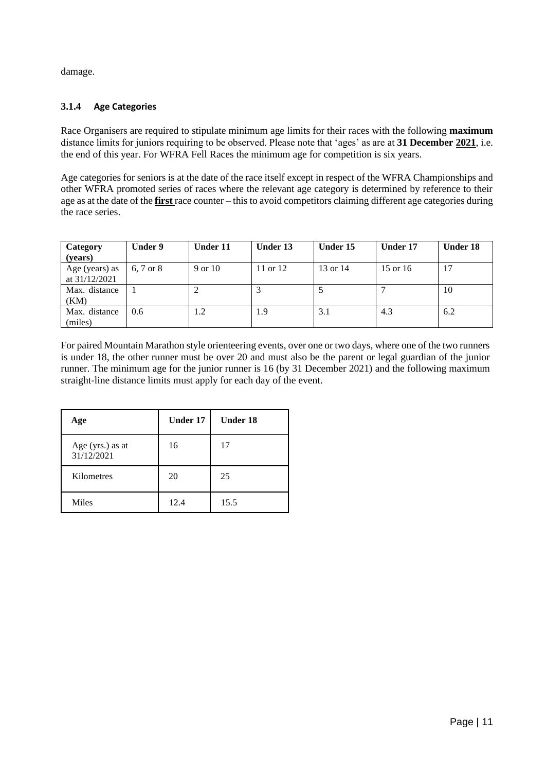damage.

#### **3.1.4 Age Categories**

Race Organisers are required to stipulate minimum age limits for their races with the following **maximum**  distance limits for juniors requiring to be observed. Please note that 'ages' as are at **31 December 2021**, i.e. the end of this year. For WFRA Fell Races the minimum age for competition is six years.

Age categories for seniors is at the date of the race itself except in respect of the WFRA Championships and other WFRA promoted series of races where the relevant age category is determined by reference to their age as at the date of the **first** race counter – this to avoid competitors claiming different age categories during the race series.

| Category<br>(vears)               | Under 9   | <b>Under 11</b> | Under 13   | Under 15 | Under 17 | <b>Under 18</b> |
|-----------------------------------|-----------|-----------------|------------|----------|----------|-----------------|
| Age (years) as<br>at $31/12/2021$ | 6, 7 or 8 | 9 or 10         | 11 or $12$ | 13 or 14 | 15 or 16 |                 |
| Max. distance<br>(KM)             |           |                 |            |          |          | 10              |
| Max. distance<br>(miles)          | 0.6       | 1.2             | 1.9        | 3.1      | 4.3      | 6.2             |

For paired Mountain Marathon style orienteering events, over one or two days, where one of the two runners is under 18, the other runner must be over 20 and must also be the parent or legal guardian of the junior runner. The minimum age for the junior runner is 16 (by 31 December 2021) and the following maximum straight-line distance limits must apply for each day of the event.

| Age                            | Under 17 | Under 18 |
|--------------------------------|----------|----------|
| Age (yrs.) as at<br>31/12/2021 | 16       | 17       |
| Kilometres                     | 20       | 25       |
| Miles                          | 12.4     | 15.5     |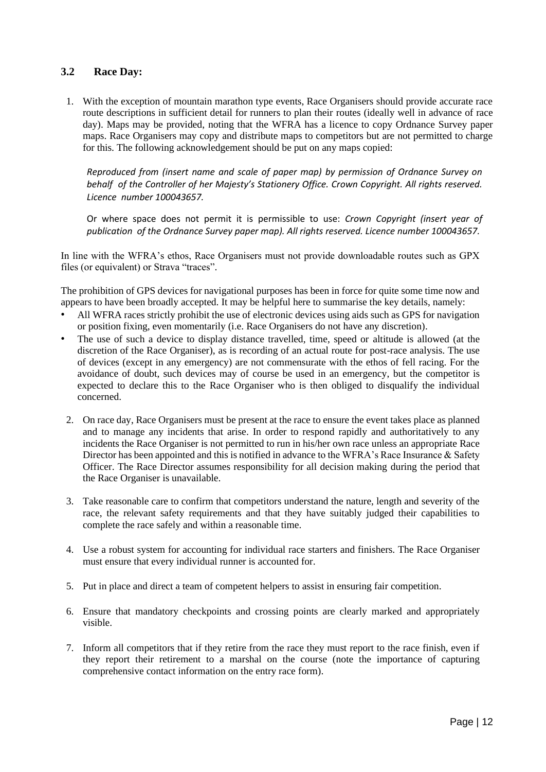#### <span id="page-12-0"></span>**3.2 Race Day:**

1. With the exception of mountain marathon type events, Race Organisers should provide accurate race route descriptions in sufficient detail for runners to plan their routes (ideally well in advance of race day). Maps may be provided, noting that the WFRA has a licence to copy Ordnance Survey paper maps. Race Organisers may copy and distribute maps to competitors but are not permitted to charge for this. The following acknowledgement should be put on any maps copied:

*Reproduced from (insert name and scale of paper map) by permission of Ordnance Survey on behalf of the Controller of her Majesty's Stationery Office. Crown Copyright. All rights reserved. Licence number 100043657.* 

Or where space does not permit it is permissible to use: *Crown Copyright (insert year of publication of the Ordnance Survey paper map). All rights reserved. Licence number 100043657.* 

In line with the WFRA's ethos, Race Organisers must not provide downloadable routes such as GPX files (or equivalent) or Strava "traces".

The prohibition of GPS devices for navigational purposes has been in force for quite some time now and appears to have been broadly accepted. It may be helpful here to summarise the key details, namely:

- All WFRA races strictly prohibit the use of electronic devices using aids such as GPS for navigation or position fixing, even momentarily (i.e. Race Organisers do not have any discretion).
- The use of such a device to display distance travelled, time, speed or altitude is allowed (at the discretion of the Race Organiser), as is recording of an actual route for post-race analysis. The use of devices (except in any emergency) are not commensurate with the ethos of fell racing. For the avoidance of doubt, such devices may of course be used in an emergency, but the competitor is expected to declare this to the Race Organiser who is then obliged to disqualify the individual concerned.
- 2. On race day, Race Organisers must be present at the race to ensure the event takes place as planned and to manage any incidents that arise. In order to respond rapidly and authoritatively to any incidents the Race Organiser is not permitted to run in his/her own race unless an appropriate Race Director has been appointed and this is notified in advance to the WFRA's Race Insurance & Safety Officer. The Race Director assumes responsibility for all decision making during the period that the Race Organiser is unavailable.
- 3. Take reasonable care to confirm that competitors understand the nature, length and severity of the race, the relevant safety requirements and that they have suitably judged their capabilities to complete the race safely and within a reasonable time.
- 4. Use a robust system for accounting for individual race starters and finishers. The Race Organiser must ensure that every individual runner is accounted for.
- 5. Put in place and direct a team of competent helpers to assist in ensuring fair competition.
- 6. Ensure that mandatory checkpoints and crossing points are clearly marked and appropriately visible.
- 7. Inform all competitors that if they retire from the race they must report to the race finish, even if they report their retirement to a marshal on the course (note the importance of capturing comprehensive contact information on the entry race form).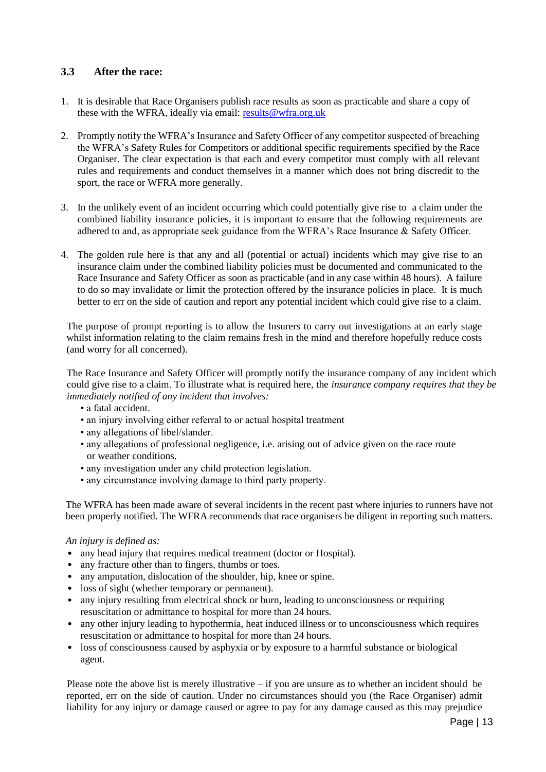#### <span id="page-13-0"></span>**3.3 After the race:**

- 1. It is desirable that Race Organisers publish race results as soon as practicable and share a copy of these with the WFRA, ideally via email: [results@wfra.org.uk](mailto:results@wfra.org.uk)
- 2. Promptly notify the WFRA's Insurance and Safety Officer of any competitor suspected of breaching the WFRA's Safety Rules for Competitors or additional specific requirements specified by the Race Organiser. The clear expectation is that each and every competitor must comply with all relevant rules and requirements and conduct themselves in a manner which does not bring discredit to the sport, the race or WFRA more generally.
- 3. In the unlikely event of an incident occurring which could potentially give rise to a claim under the combined liability insurance policies, it is important to ensure that the following requirements are adhered to and, as appropriate seek guidance from the WFRA's Race Insurance & Safety Officer.
- 4. The golden rule here is that any and all (potential or actual) incidents which may give rise to an insurance claim under the combined liability policies must be documented and communicated to the Race Insurance and Safety Officer as soon as practicable (and in any case within 48 hours). A failure to do so may invalidate or limit the protection offered by the insurance policies in place. It is much better to err on the side of caution and report any potential incident which could give rise to a claim.

The purpose of prompt reporting is to allow the Insurers to carry out investigations at an early stage whilst information relating to the claim remains fresh in the mind and therefore hopefully reduce costs (and worry for all concerned).

The Race Insurance and Safety Officer will promptly notify the insurance company of any incident which could give rise to a claim. To illustrate what is required here, the *insurance company requires that they be immediately notified of any incident that involves:* 

- a fatal accident.
- an injury involving either referral to or actual hospital treatment
- any allegations of libel/slander.
- any allegations of professional negligence, i.e. arising out of advice given on the race route or weather conditions.
- any investigation under any child protection legislation.
- any circumstance involving damage to third party property.

The WFRA has been made aware of several incidents in the recent past where injuries to runners have not been properly notified. The WFRA recommends that race organisers be diligent in reporting such matters.

#### *An injury is defined as:*

- any head injury that requires medical treatment (doctor or Hospital).
- any fracture other than to fingers, thumbs or toes.
- any amputation, dislocation of the shoulder, hip, knee or spine.
- loss of sight (whether temporary or permanent).
- any injury resulting from electrical shock or burn, leading to unconsciousness or requiring resuscitation or admittance to hospital for more than 24 hours.
- any other injury leading to hypothermia, heat induced illness or to unconsciousness which requires resuscitation or admittance to hospital for more than 24 hours.
- loss of consciousness caused by asphyxia or by exposure to a harmful substance or biological agent.

Please note the above list is merely illustrative  $-$  if you are unsure as to whether an incident should be reported, err on the side of caution. Under no circumstances should you (the Race Organiser) admit liability for any injury or damage caused or agree to pay for any damage caused as this may prejudice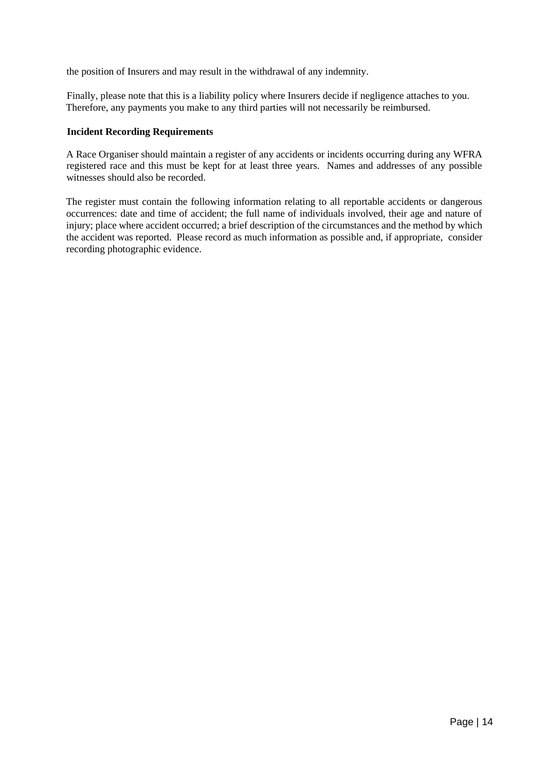the position of Insurers and may result in the withdrawal of any indemnity.

Finally, please note that this is a liability policy where Insurers decide if negligence attaches to you. Therefore, any payments you make to any third parties will not necessarily be reimbursed.

#### **Incident Recording Requirements**

A Race Organiser should maintain a register of any accidents or incidents occurring during any WFRA registered race and this must be kept for at least three years. Names and addresses of any possible witnesses should also be recorded.

The register must contain the following information relating to all reportable accidents or dangerous occurrences: date and time of accident; the full name of individuals involved, their age and nature of injury; place where accident occurred; a brief description of the circumstances and the method by which the accident was reported. Please record as much information as possible and, if appropriate, consider recording photographic evidence.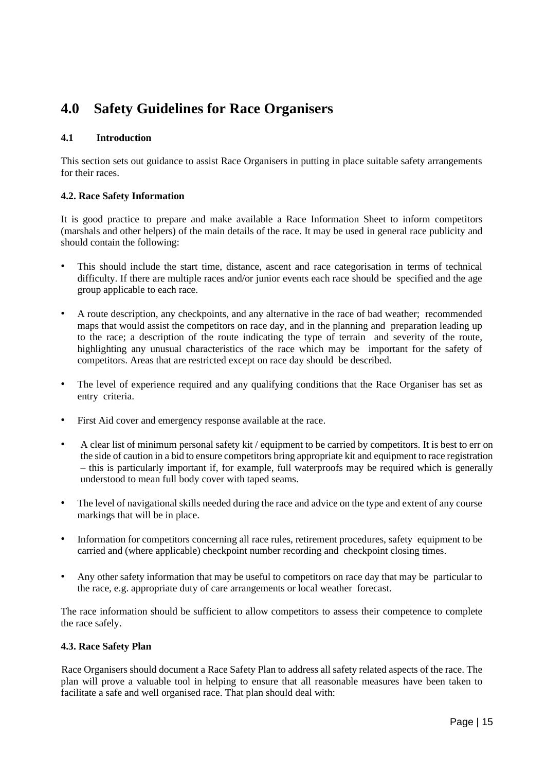# <span id="page-15-0"></span>**4.0 Safety Guidelines for Race Organisers**

#### **4.1 Introduction**

This section sets out guidance to assist Race Organisers in putting in place suitable safety arrangements for their races.

#### **4.2. Race Safety Information**

It is good practice to prepare and make available a Race Information Sheet to inform competitors (marshals and other helpers) of the main details of the race. It may be used in general race publicity and should contain the following:

- This should include the start time, distance, ascent and race categorisation in terms of technical difficulty. If there are multiple races and/or junior events each race should be specified and the age group applicable to each race.
- A route description, any checkpoints, and any alternative in the race of bad weather; recommended maps that would assist the competitors on race day, and in the planning and preparation leading up to the race; a description of the route indicating the type of terrain and severity of the route, highlighting any unusual characteristics of the race which may be important for the safety of competitors. Areas that are restricted except on race day should be described.
- The level of experience required and any qualifying conditions that the Race Organiser has set as entry criteria.
- First Aid cover and emergency response available at the race.
- A clear list of minimum personal safety kit / equipment to be carried by competitors. It is best to err on the side of caution in a bid to ensure competitors bring appropriate kit and equipment to race registration – this is particularly important if, for example, full waterproofs may be required which is generally understood to mean full body cover with taped seams.
- The level of navigational skills needed during the race and advice on the type and extent of any course markings that will be in place.
- Information for competitors concerning all race rules, retirement procedures, safety equipment to be carried and (where applicable) checkpoint number recording and checkpoint closing times.
- Any other safety information that may be useful to competitors on race day that may be particular to the race, e.g. appropriate duty of care arrangements or local weather forecast.

The race information should be sufficient to allow competitors to assess their competence to complete the race safely.

#### **4.3. Race Safety Plan**

Race Organisers should document a Race Safety Plan to address all safety related aspects of the race. The plan will prove a valuable tool in helping to ensure that all reasonable measures have been taken to facilitate a safe and well organised race. That plan should deal with: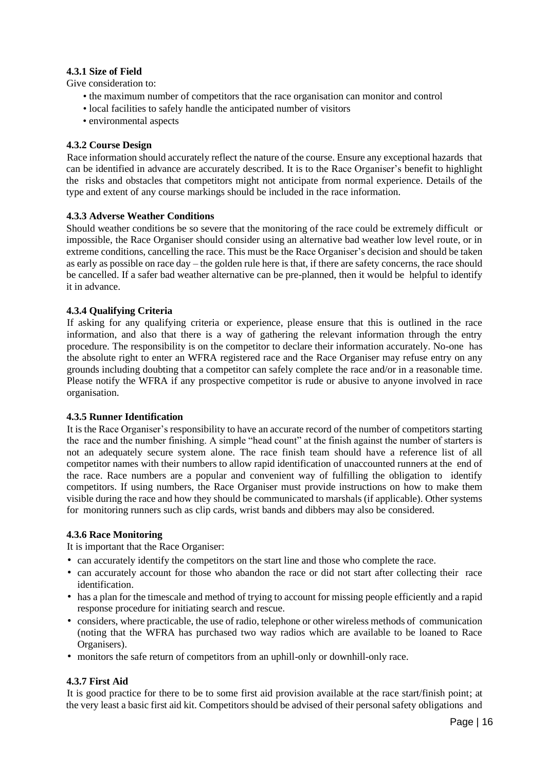#### **4.3.1 Size of Field**

Give consideration to:

- the maximum number of competitors that the race organisation can monitor and control
- local facilities to safely handle the anticipated number of visitors
- environmental aspects

#### **4.3.2 Course Design**

Race information should accurately reflect the nature of the course. Ensure any exceptional hazards that can be identified in advance are accurately described. It is to the Race Organiser's benefit to highlight the risks and obstacles that competitors might not anticipate from normal experience. Details of the type and extent of any course markings should be included in the race information.

#### **4.3.3 Adverse Weather Conditions**

Should weather conditions be so severe that the monitoring of the race could be extremely difficult or impossible, the Race Organiser should consider using an alternative bad weather low level route, or in extreme conditions, cancelling the race. This must be the Race Organiser's decision and should be taken as early as possible on race day – the golden rule here is that, if there are safety concerns, the race should be cancelled. If a safer bad weather alternative can be pre-planned, then it would be helpful to identify it in advance.

#### **4.3.4 Qualifying Criteria**

If asking for any qualifying criteria or experience, please ensure that this is outlined in the race information, and also that there is a way of gathering the relevant information through the entry procedure. The responsibility is on the competitor to declare their information accurately. No-one has the absolute right to enter an WFRA registered race and the Race Organiser may refuse entry on any grounds including doubting that a competitor can safely complete the race and/or in a reasonable time. Please notify the WFRA if any prospective competitor is rude or abusive to anyone involved in race organisation.

#### **4.3.5 Runner Identification**

It is the Race Organiser's responsibility to have an accurate record of the number of competitors starting the race and the number finishing. A simple "head count" at the finish against the number of starters is not an adequately secure system alone. The race finish team should have a reference list of all competitor names with their numbers to allow rapid identification of unaccounted runners at the end of the race. Race numbers are a popular and convenient way of fulfilling the obligation to identify competitors. If using numbers, the Race Organiser must provide instructions on how to make them visible during the race and how they should be communicated to marshals (if applicable). Other systems for monitoring runners such as clip cards, wrist bands and dibbers may also be considered.

#### **4.3.6 Race Monitoring**

It is important that the Race Organiser:

- can accurately identify the competitors on the start line and those who complete the race.
- can accurately account for those who abandon the race or did not start after collecting their race identification.
- has a plan for the timescale and method of trying to account for missing people efficiently and a rapid response procedure for initiating search and rescue.
- considers, where practicable, the use of radio, telephone or other wireless methods of communication (noting that the WFRA has purchased two way radios which are available to be loaned to Race Organisers).
- monitors the safe return of competitors from an uphill-only or downhill-only race.

#### **4.3.7 First Aid**

It is good practice for there to be to some first aid provision available at the race start/finish point; at the very least a basic first aid kit. Competitors should be advised of their personal safety obligations and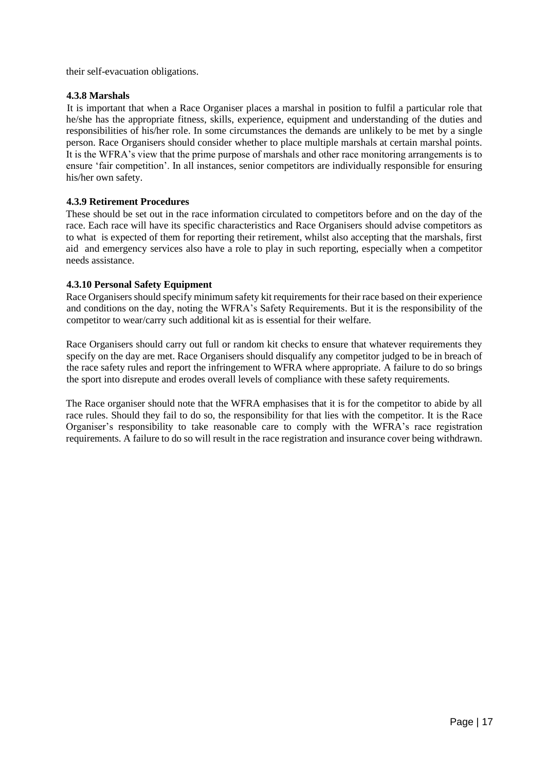their self-evacuation obligations.

#### **4.3.8 Marshals**

It is important that when a Race Organiser places a marshal in position to fulfil a particular role that he/she has the appropriate fitness, skills, experience, equipment and understanding of the duties and responsibilities of his/her role. In some circumstances the demands are unlikely to be met by a single person. Race Organisers should consider whether to place multiple marshals at certain marshal points. It is the WFRA's view that the prime purpose of marshals and other race monitoring arrangements is to ensure 'fair competition'. In all instances, senior competitors are individually responsible for ensuring his/her own safety.

#### **4.3.9 Retirement Procedures**

These should be set out in the race information circulated to competitors before and on the day of the race. Each race will have its specific characteristics and Race Organisers should advise competitors as to what is expected of them for reporting their retirement, whilst also accepting that the marshals, first aid and emergency services also have a role to play in such reporting, especially when a competitor needs assistance.

#### **4.3.10 Personal Safety Equipment**

Race Organisers should specify minimum safety kit requirements for their race based on their experience and conditions on the day, noting the WFRA's Safety Requirements. But it is the responsibility of the competitor to wear/carry such additional kit as is essential for their welfare.

Race Organisers should carry out full or random kit checks to ensure that whatever requirements they specify on the day are met. Race Organisers should disqualify any competitor judged to be in breach of the race safety rules and report the infringement to WFRA where appropriate. A failure to do so brings the sport into disrepute and erodes overall levels of compliance with these safety requirements.

The Race organiser should note that the WFRA emphasises that it is for the competitor to abide by all race rules. Should they fail to do so, the responsibility for that lies with the competitor. It is the Race Organiser's responsibility to take reasonable care to comply with the WFRA's race registration requirements. A failure to do so will result in the race registration and insurance cover being withdrawn.